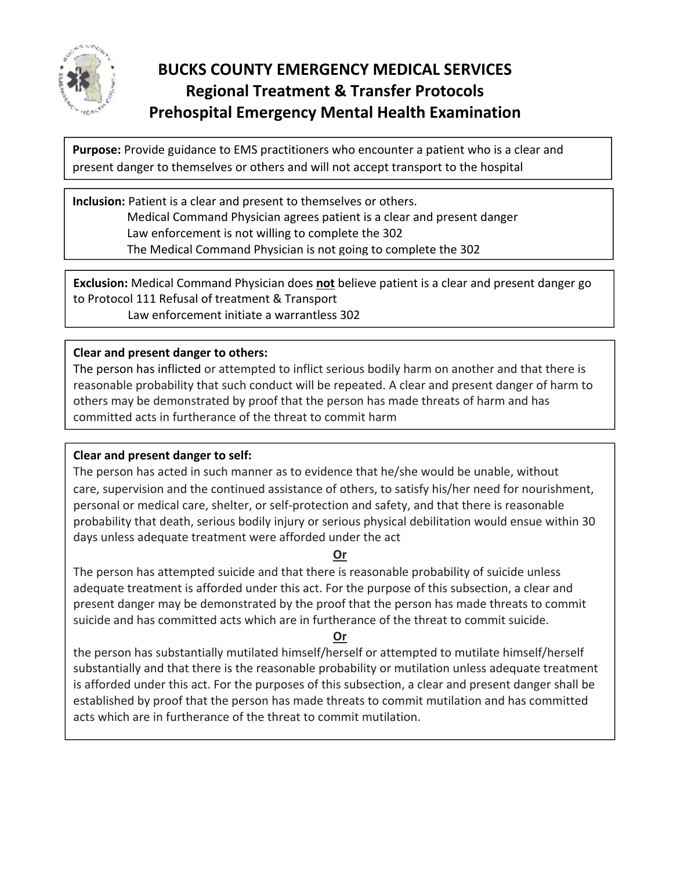

# **BUCKS COUNTY EMERGENCY MEDICAL SERVICES Regional Treatment & Transfer Protocols Prehospital Emergency Mental Health Examination**

**Purpose:** Provide guidance to EMS practitioners who encounter a patient who is a clear and present danger to themselves or others and will not accept transport to the hospital

**Inclusion:** Patient is a clear and present to themselves or others. Medical Command Physician agrees patient is a clear and present danger Law enforcement is not willing to complete the 302 The Medical Command Physician is not going to complete the 302

**Exclusion:** Medical Command Physician does **not** believe patient is a clear and present danger go to Protocol 111 Refusal of treatment & Transport

Law enforcement initiate a warrantless 302

#### **Clear and present danger to others:**

The person has inflicted or attempted to inflict serious bodily harm on another and that there is reasonable probability that such conduct will be repeated. A clear and present danger of harm to others may be demonstrated by proof that the person has made threats of harm and has committed acts in furtherance of the threat to commit harm

#### **Clear and present danger to self:**

The person has acted in such manner as to evidence that he/she would be unable, without care, supervision and the continued assistance of others, to satisfy his/her need for nourishment, personal or medical care, shelter, or self‐protection and safety, and that there is reasonable probability that death, serious bodily injury or serious physical debilitation would ensue within 30 days unless adequate treatment were afforded under the act

#### **Or**

The person has attempted suicide and that there is reasonable probability of suicide unless adequate treatment is afforded under this act. For the purpose of this subsection, a clear and present danger may be demonstrated by the proof that the person has made threats to commit suicide and has committed acts which are in furtherance of the threat to commit suicide.

### **Or**

the person has substantially mutilated himself/herself or attempted to mutilate himself/herself substantially and that there is the reasonable probability or mutilation unless adequate treatment is afforded under this act. For the purposes of this subsection, a clear and present danger shall be established by proof that the person has made threats to commit mutilation and has committed acts which are in furtherance of the threat to commit mutilation.